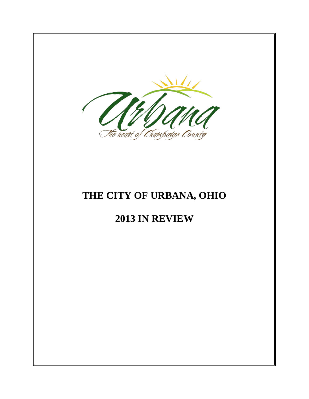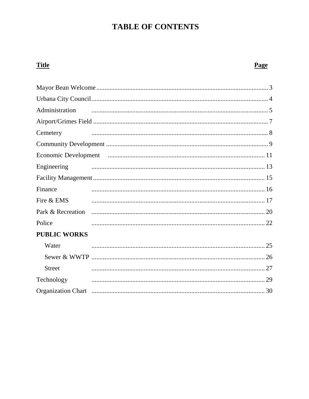# **TABLE OF CONTENTS**

# **Title**

## **Page**

| Administration      |  |
|---------------------|--|
|                     |  |
| Cemetery            |  |
|                     |  |
|                     |  |
| Engineering         |  |
|                     |  |
| Finance             |  |
| Fire & EMS          |  |
|                     |  |
| Police              |  |
| <b>PUBLIC WORKS</b> |  |
| Water               |  |
|                     |  |
| <b>Street</b>       |  |
| Technology          |  |
|                     |  |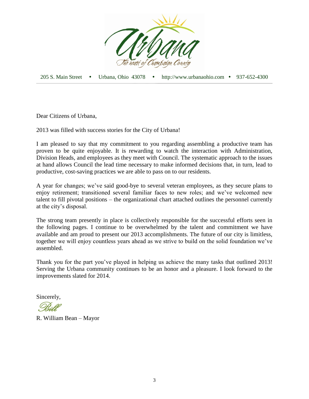

205 S. Main Street Urbana, Ohio 43078 http://www.urbanaohio.com 937-652-4300

Dear Citizens of Urbana,

2013 was filled with success stories for the City of Urbana!

I am pleased to say that my commitment to you regarding assembling a productive team has proven to be quite enjoyable. It is rewarding to watch the interaction with Administration, Division Heads, and employees as they meet with Council. The systematic approach to the issues at hand allows Council the lead time necessary to make informed decisions that, in turn, lead to productive, cost-saving practices we are able to pass on to our residents.

A year for changes; we've said good-bye to several veteran employees, as they secure plans to enjoy retirement; transitioned several familiar faces to new roles; and we've welcomed new talent to fill pivotal positions – the organizational chart attached outlines the personnel currently at the city's disposal.

The strong team presently in place is collectively responsible for the successful efforts seen in the following pages. I continue to be overwhelmed by the talent and commitment we have available and am proud to present our 2013 accomplishments. The future of our city is limitless, together we will enjoy countless years ahead as we strive to build on the solid foundation we've assembled.

Thank you for the part you've played in helping us achieve the many tasks that outlined 2013! Serving the Urbana community continues to be an honor and a pleasure. I look forward to the improvements slated for 2014.

Sincerely,

Bill

R. William Bean – Mayor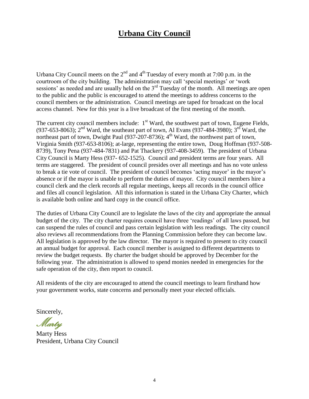## **Urbana City Council**

Urbana City Council meets on the  $2<sup>nd</sup>$  and  $4<sup>th</sup>$  Tuesday of every month at 7:00 p.m. in the courtroom of the city building. The administration may call 'special meetings' or 'work sessions' as needed and are usually held on the 3<sup>rd</sup> Tuesday of the month. All meetings are open to the public and the public is encouraged to attend the meetings to address concerns to the council members or the administration. Council meetings are taped for broadcast on the local access channel. New for this year is a live broadcast of the first meeting of the month.

The current city council members include:  $1<sup>st</sup>$  Ward, the southwest part of town, Eugene Fields, (937-653-8063);  $2^{nd}$  Ward, the southeast part of town, Al Evans (937-484-3980);  $3^{rd}$  Ward, the northeast part of town, Dwight Paul  $(937-207-8736)$ ;  $4<sup>th</sup>$  Ward, the northwest part of town, Virginia Smith (937-653-8106); at-large, representing the entire town, Doug Hoffman (937-508- 8739), Tony Pena (937-484-7831) and Pat Thackery (937-408-3459). The president of Urbana City Council is Marty Hess (937- 652-1525). Council and president terms are four years. All terms are staggered. The president of council presides over all meetings and has no vote unless to break a tie vote of council. The president of council becomes 'acting mayor' in the mayor's absence or if the mayor is unable to perform the duties of mayor. City council members hire a council clerk and the clerk records all regular meetings, keeps all records in the council office and files all council legislation. All this information is stated in the Urbana City Charter, which is available both online and hard copy in the council office.

The duties of Urbana City Council are to legislate the laws of the city and appropriate the annual budget of the city. The city charter requires council have three 'readings' of all laws passed, but can suspend the rules of council and pass certain legislation with less readings. The city council also reviews all recommendations from the Planning Commission before they can become law. All legislation is approved by the law director. The mayor is required to present to city council an annual budget for approval. Each council member is assigned to different departments to review the budget requests. By charter the budget should be approved by December for the following year. The administration is allowed to spend monies needed in emergencies for the safe operation of the city, then report to council.

All residents of the city are encouraged to attend the council meetings to learn firsthand how your government works, state concerns and personally meet your elected officials.

Sincerely,

Marty

Marty Hess President, Urbana City Council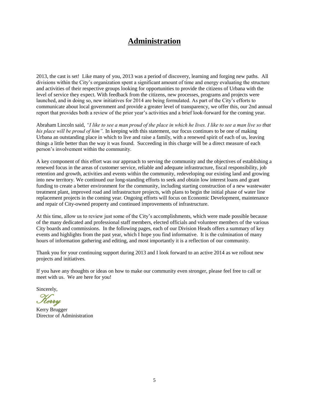## **Administration**

2013, the cast is set! Like many of you, 2013 was a period of discovery, learning and forging new paths. All divisions within the City's organization spent a significant amount of time and energy evaluating the structure and activities of their respective groups looking for opportunities to provide the citizens of Urbana with the level of service they expect. With feedback from the citizens, new processes, programs and projects were launched, and in doing so, new initiatives for 2014 are being formulated. As part of the City's efforts to communicate about local government and provide a greater level of transparency, we offer this, our 2nd annual report that provides both a review of the prior year's activities and a brief look-forward for the coming year.

Abraham Lincoln said, *"I like to see a man proud of the place in which he lives. I like to see a man live so that his place will be proud of him".* In keeping with this statement, our focus continues to be one of making Urbana an outstanding place in which to live and raise a family, with a renewed spirit of each of us, leaving things a little better than the way it was found. Succeeding in this charge will be a direct measure of each person's involvement within the community.

A key component of this effort was our approach to serving the community and the objectives of establishing a renewed focus in the areas of customer service, reliable and adequate infrastructure, fiscal responsibility, job retention and growth, activities and events within the community, redeveloping our existing land and growing into new territory. We continued our long-standing efforts to seek and obtain low interest loans and grant funding to create a better environment for the community, including starting construction of a new wastewater treatment plant, improved road and infrastructure projects, with plans to begin the initial phase of water line replacement projects in the coming year. Ongoing efforts will focus on Economic Development, maintenance and repair of City-owned property and continued improvements of infrastructure.

At this time, allow us to review just some of the City's accomplishments, which were made possible because of the many dedicated and professional staff members, elected officials and volunteer members of the various City boards and commissions. In the following pages, each of our Division Heads offers a summary of key events and highlights from the past year, which I hope you find informative. It is the culmination of many hours of information gathering and editing, and most importantly it is a reflection of our community.

Thank you for your continuing support during 2013 and I look forward to an active 2014 as we rollout new projects and initiatives.

If you have any thoughts or ideas on how to make our community even stronger, please feel free to call or meet with us. We are here for you!

Sincerely,

Kerry

Kerry Brugger Director of Administration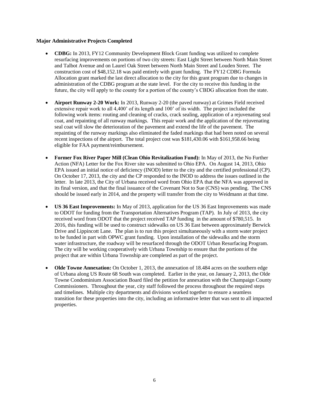#### **Major Administrative Projects Completed**

- **CDBG:** In 2013, FY12 Community Development Block Grant funding was utilized to complete resurfacing improvements on portions of two city streets: East Light Street between North Main Street and Talbot Avenue and on Laurel Oak Street between North Main Street and Louden Street. The construction cost of \$48,152.18 was paid entirely with grant funding. The FY12 CDBG Formula Allocation grant marked the last direct allocation to the city for this grant program due to changes in administration of the CDBG program at the state level. For the city to receive this funding in the future, the city will apply to the county for a portion of the county's CBDG allocation from the state.
- **Airport Runway 2-20 Work:** In 2013, Runway 2-20 (the paved runway) at Grimes Field received extensive repair work to all 4,400' of its length and 100' of its width. The project included the following work items: routing and cleaning of cracks, crack sealing, application of a rejuvenating seal coat, and repainting of all runway markings. This repair work and the application of the rejuvenating seal coat will slow the deterioration of the pavement and extend the life of the pavement. The repainting of the runway markings also eliminated the faded markings that had been noted on several recent inspections of the airport. The total project cost was \$181,430.06 with \$161,958.66 being eligible for FAA payment/reimbursement.
- **Former Fox River Paper Mill (Clean Ohio Revitalization Fund):** In May of 2013, the No Further Action (NFA) Letter for the Fox River site was submitted to Ohio EPA. On August 14, 2013, Ohio EPA issued an initial notice of deficiency (INOD) letter to the city and the certified professional (CP). On October 17, 2013, the city and the CP responded to the INOD to address the issues outlined in the letter. In late 2013, the City of Urbana received word from Ohio EPA that the NFA was approved in its final version, and that the final issuance of the Covenant Not to Sue (CNS) was pending. The CNS should be issued early in 2014, and the property will transfer from the city to Weidmann at that time.
- **US 36 East Improvements:** In May of 2013, application for the US 36 East Improvements was made to ODOT for funding from the Transportation Alternatives Program (TAP). In July of 2013, the city received word from ODOT that the project received TAP funding in the amount of \$780,515. In 2016, this funding will be used to construct sidewalks on US 36 East between approximately Berwick Drive and Lippincott Lane. The plan is to run this project simultaneously with a storm water project to be funded in part with OPWC grant funding. Upon installation of the sidewalks and the storm water infrastructure, the roadway will be resurfaced through the ODOT Urban Resurfacing Program. The city will be working cooperatively with Urbana Township to ensure that the portions of the project that are within Urbana Township are completed as part of the project.
- Olde Towne Annexation: On October 1, 2013, the annexation of 18.484 acres on the southern edge of Urbana along US Route 68 South was completed. Earlier in the year, on January 2, 2013, the Olde Towne Condominium Association Board filed the petition for annexation with the Champaign County Commissioners. Throughout the year, city staff followed the process throughout the required steps and timelines. Multiple city departments and divisions worked together to ensure a seamless transition for these properties into the city, including an informative letter that was sent to all impacted properties.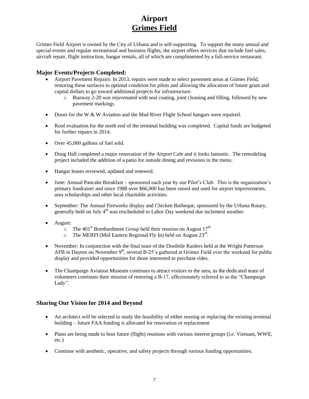## **Airport Grimes Field**

Grimes Field Airport is owned by the City of Urbana and is self-supporting. To support the many annual and special events and regular recreational and business flights, the airport offers services that include fuel sales, aircraft repair, flight instruction, hangar rentals, all of which are complimented by a full-service restaurant.

### **Major Events/Projects Completed:**

- Airport Pavement Repairs: In 2013, repairs were made to select pavement areas at Grimes Field, restoring these surfaces to optimal condition for pilots and allowing the allocation of future grant and capital dollars to go toward additional projects for infrastructure.
	- o Runway 2-20 was rejuvenated with seal coating, joint cleaning and filling, followed by new pavement markings
- Doors for the W & W Aviation and the Mad River Flight School hangars were repaired.
- Roof evaluation for the north end of the terminal building was completed. Capital funds are budgeted for further repairs in 2014.
- Over 45,000 gallons of fuel sold.
- Doug Hall completed a major renovation of the Airport Cafe and it looks fantastic. The remodeling project included the addition of a patio for outside dining and revisions to the menu.
- Hangar leases reviewed, updated and renewed.
- June: Annual Pancake Breakfast sponsored each year by our Pilot's Club. This is the organization's primary fundraiser and since 1988 over \$66,000 has been raised and used for airport improvements, area scholarships and other local charitable activities.
- September: The Annual Fireworks display and Chicken Barbeque, sponsored by the Urbana Rotary, generally held on July 4<sup>th</sup> was rescheduled to Labor Day weekend due inclement weather.
- August:
	- $\circ$  The 401<sup>st</sup> Bombardment Group held their reunion on August 17<sup>th</sup>
	- $\circ$  The MERFI (Mid Eastern Regional Fly In) held on August 23<sup>rd</sup>.
- November: In conjunction with the final toast of the Doolittle Raiders held at the Wright Patterson AFB in Dayton on November  $9<sup>th</sup>$ , several B-25's gathered at Grimes Field over the weekend for public display and provided opportunities for those interested to purchase rides.
- The Champaign Aviation Museum continues to attract visitors to the area, as the dedicated team of volunteers continues their mission of restoring a B-17, affectionately referred to as the "Champaign Lady".

- An architect will be selected to study the feasibility of either reusing or replacing the existing terminal building – future FAA funding is allocated for renovation or replacement
- Plans are being made to host future (flight) reunions with various interest groups (i.e. Vietnam, WWII, etc.)
- Continue with aesthetic, operative, and safety projects through various funding opportunities.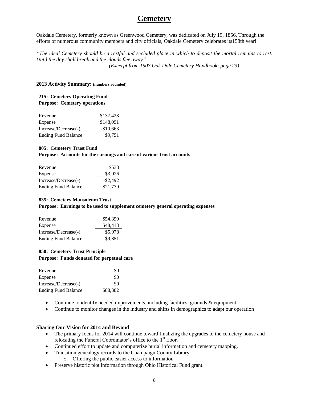## **Cemetery**

Oakdale Cemetery, formerly known as Greenwood Cemetery, was dedicated on July 19, 1856. Through the efforts of numerous community members and city officials, Oakdale Cemetery celebrates its158th year!

*"The ideal Cemetery should be a restful and secluded place in which to deposit the mortal remains to rest. Until the day shall break and the clouds flee away" (Excerpt from 1907 Oak Dale Cemetery Handbook; page 23)*

#### **2013 Activity Summary: (numbers rounded)**

#### **215: Cemetery Operating Fund Purpose: Cemetery operations**

| Revenue                    | \$137,428  |
|----------------------------|------------|
| Expense                    | \$148,091  |
| Increase/Decrease(-)       | $-$10,663$ |
| <b>Ending Fund Balance</b> | \$9.751    |

#### **805: Cemetery Trust Fund**

**Purpose: Accounts for the earnings and care of various trust accounts**

| Revenue                    | \$533       |
|----------------------------|-------------|
| Expense                    | \$3,026     |
| Increase/Decrease(-)       | $-$ \$2,492 |
| <b>Ending Fund Balance</b> | \$21,779    |

#### **835: Cemetery Mausoleum Trust**

**Purpose: Earnings to be used to supplement cemetery general operating expenses**

| Revenue                    | \$54,390 |
|----------------------------|----------|
| Expense                    | \$48,413 |
| Increase/Decrease(-)       | \$5,978  |
| <b>Ending Fund Balance</b> | \$9,851  |

#### **850: Cemetery Trust Principle**

**Purpose: Funds donated for perpetual care**

| Revenue                    | \$0      |
|----------------------------|----------|
| Expense                    | \$0      |
| Increase/Decrease(-)       | \$0      |
| <b>Ending Fund Balance</b> | \$88,382 |

- Continue to identify needed improvements, including facilities, grounds & equipment
- Continue to monitor changes in the industry and shifts in demographics to adapt our operation

- The primary focus for 2014 will continue toward finalizing the upgrades to the cemetery house and relocating the Funeral Coordinator's office to the 1<sup>st</sup> floor.
- Continued effort to update and computerize burial information and cemetery mapping.
- Transition genealogy records to the Champaign County Library.
	- o Offering the public easier access to information
- Preserve historic plot information through Ohio Historical Fund grant.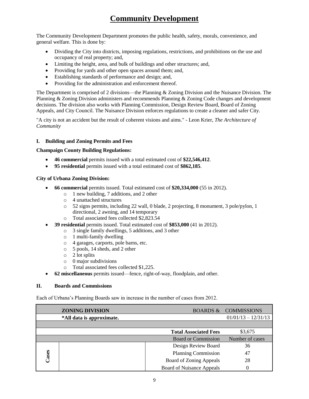# **Community Development**

The Community Development Department promotes the public health, safety, morals, convenience, and general welfare. This is done by:

- Dividing the City into districts, imposing regulations, restrictions, and prohibitions on the use and occupancy of real property; and,
- Limiting the height, area, and bulk of buildings and other structures; and,
- Providing for yards and other open spaces around them; and,
- Establishing standards of performance and design; and,
- Providing for the administration and enforcement thereof.

The Department is comprised of 2 divisions—the Planning & Zoning Division and the Nuisance Division. The Planning & Zoning Division administers and recommends Planning & Zoning Code changes and development decisions. The division also works with Planning Commission, Design Review Board, Board of Zoning Appeals, and City Council. The Nuisance Division enforces regulations to create a cleaner and safer City.

"A city is not an accident but the result of coherent visions and aims." - Leon Krier, *The Architecture of Community*

### **I. Building and Zoning Permits and Fees**

### **Champaign County Building Regulations:**

- **46 commercial** permits issued with a total estimated cost of **\$22,546,412**.
- **95 residential** permits issued with a total estimated cost of **\$862,185**.

### **City of Urbana Zoning Division:**

- **66 commercial** permits issued. Total estimated cost of **\$20,334,000** (55 in 2012).
	- o 1 new building, 7 additions, and 2 other
	- o 4 unattached structures
	- o 52 signs permits, including 22 wall, 0 blade, 2 projecting, 8 monument, 3 pole/pylon, 1 directional, 2 awning, and 14 temporary
	- o Total associated fees collected \$2,823.54
- **39 residential** permits issued. Total estimated cost of **\$853,000** (41 in 2012).
	- o 3 single family dwellings, 5 additions, and 3 other
		- $\circ$  1 multi-family dwelling
		- o 4 garages, carports, pole barns, etc.
		- o 5 pools, 14 sheds, and 2 other
		- o 2 lot splits
		- o 0 major subdivisions
		- o Total associated fees collected \$1,225.
- **62 miscellaneous** permits issued—fence, right-of-way, floodplain, and other.

#### **II. Boards and Commissions**

Each of Urbana's Planning Boards saw in increase in the number of cases from 2012.

|       | <b>ZONING DIVISION</b>    |                                  | <b>BOARDS &amp; COMMISSIONS</b> |
|-------|---------------------------|----------------------------------|---------------------------------|
|       | *All data is approximate. |                                  | $01/01/13 - 12/31/13$           |
|       |                           |                                  |                                 |
|       |                           | <b>Total Associated Fees</b>     | \$3,675                         |
|       |                           | <b>Board or Commission</b>       | Number of cases                 |
|       |                           | Design Review Board              | 36                              |
| Cases |                           | <b>Planning Commission</b>       | 47                              |
|       |                           | Board of Zoning Appeals          | 28                              |
|       |                           | <b>Board of Nuisance Appeals</b> |                                 |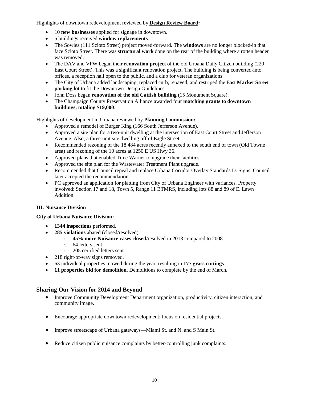Highlights of downtown redevelopment reviewed by **Design Review Board:**

- 10 **new businesses** applied for signage in downtown.
- 5 buildings received **window replacements**.
- The Sowles (111 Scioto Street) project moved-forward. The **windows** are no longer blocked-in that face Scioto Street. There was **structural work** done on the rear of the building where a rotten header was removed.
- The DAV and VFW began their **renovation project** of the old Urbana Daily Citizen building (220 East Court Street). This was a significant renovation project. The building is being converted-into offices, a reception hall open to the public, and a club for veteran organizations.
- The City of Urbana added landscaping, replaced curb, repaved, and restriped the East **Market Street parking lot** to fit the Downtown Design Guidelines.
- John Doss began **renovation of the old Catfish building** (15 Monument Square).
- The Champaign County Preservation Alliance awarded four **matching grants to downtown buildings, totaling \$19,000**.

Highlights of development in Urbana reviewed by **Planning Commission:**

- Approved a remodel of Burger King (166 South Jefferson Avenue).
- Approved a site plan for a two-unit dwelling at the intersection of East Court Street and Jefferson Avenue. Also, a three-unit site dwelling off of Eagle Street.
- Recommended rezoning of the 18.484 acres recently annexed to the south end of town (Old Towne area) and rezoning of the 10 acres at 1250 E US Hwy 36.
- Approved plans that enabled Time Warner to upgrade their facilities.
- Approved the site plan for the Wastewater Treatment Plant upgrade.
- Recommended that Council repeal and replace Urbana Corridor Overlay Standards D. Signs. Council later accepted the recommendation.
- PC approved an application for platting from City of Urbana Engineer with variances. Property involved: Section 17 and 18, Town 5, Range 11 BTMRS, including lots 88 and 89 of E. Lawn Addition.

### **III. Nuisance Division**

### **City of Urbana Nuisance Division:**

- **1344 inspections** performed.
- **285 violations** abated (closed/resolved).
	- o **45% more Nuisance cases closed**/resolved in 2013 compared to 2008.
	- o 64 letters sent.
	- o 205 certified letters sent.
- 218 right-of-way signs removed.
- 63 individual properties mowed during the year, resulting in **177 grass cuttings**.
- **11 properties bid for demolition**. Demolitions to complete by the end of March.

- Improve Community Development Department organization, productivity, citizen interaction, and community image.
- Encourage appropriate downtown redevelopment; focus on residential projects.
- Improve streetscape of Urbana gateways—Miami St. and N. and S Main St.
- Reduce citizen public nuisance complaints by better-controlling junk complaints.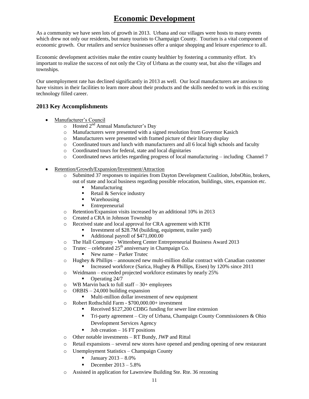# **Economic Development**

As a community we have seen lots of growth in 2013. Urbana and our villages were hosts to many events which drew not only our residents, but many tourists to Champaign County. Tourism is a vital component of economic growth. Our retailers and service businesses offer a unique shopping and leisure experience to all.

Economic development activities make the entire county healthier by fostering a community effort. It's important to realize the success of not only the City of Urbana as the county seat, but also the villages and townships.

Our unemployment rate has declined significantly in 2013 as well. Our local manufacturers are anxious to have visitors in their facilities to learn more about their products and the skills needed to work in this exciting technology filled career.

## **2013 Key Accomplishments**

- Manufacturer's Council
	- $\overline{\circ}$  Hosted 2<sup>nd</sup> Annual Manufacturer's Day
	- o Manufacturers were presented with a signed resolution from Governor Kasich
	- o Manufacturers were presented with framed picture of their library display
	- o Coordinated tours and lunch with manufacturers and all 6 local high schools and faculty
	- o Coordinated tours for federal, state and local dignitaries
	- o Coordinated news articles regarding progress of local manufacturing including Channel 7
- Retention/Growth/Expansion/Investment/Attraction
	- o Submitted 37 responses to inquiries from Dayton Development Coalition, JobsOhio, brokers, out of state and local business regarding possible relocation, buildings, sites, expansion etc.
		- Manufacturing
		- Retail & Service industry
		- **Warehousing**
		- **Entrepreneurial**
	- o Retention/Expansion visits increased by an additional 10% in 2013
	- o Created a CRA in Johnson Township
	- o Received state and local approval for CRA agreement with KTH
		- Investment of \$28.7M (building, equipment, trailer yard)
			- Additional payroll of \$471,000.00
	- o The Hall Company Wittenberg Center Entrepreneurial Business Award 2013
	- $\circ$  Trutec celebrated 25<sup>th</sup> anniversary in Champaign Co.
		- New name Parker Trutec
	- $\circ$  Hughey & Phillips announced new multi-million dollar contract with Canadian customer Increased workforce (Sarica, Hughey & Phillips, Eisen) by  $120\%$  since  $2011$
	- o Weidmann exceeded projected workforce estimates by nearly 25%
		- Operating 24/7
	- $\circ$  WB Marvin back to full staff 30+ employees
	- $\circ$  ORBIS 24,000 building expansion
		- **Multi-million dollar investment of new equipment**
	- o Robert Rothschild Farm \$700,000.00+ investment
		- Received \$127,200 CDBG funding for sewer line extension
		- Tri-party agreement City of Urbana, Champaign County Commissioners & Ohio Development Services Agency
		- Job creation 16 FT positions
	- o Other notable investments RT Bundy, JWP and Rittal
	- o Retail expansions several new stores have opened and pending opening of new restaurant
	- o Unemployment Statistics Champaign County
		- January 2013 8.0%
		- December  $2013 5.8\%$
	- o Assisted in application for Lawnview Building Ste. Rte. 36 rezoning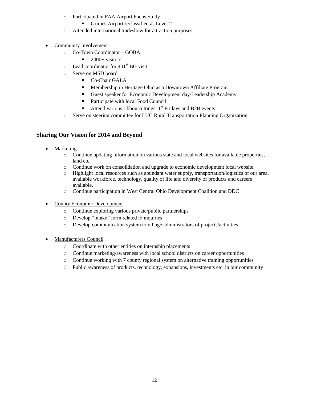- o Participated in FAA Airport Focus Study
	- Grimes Airport reclassified as Level 2
- o Attended international tradeshow for attraction purposes
- Community Involvement
	- o Co-Town Coordinator GOBA
		- $\blacksquare$  2400+ visitors
	- $\circ$  Lead coordinator for 401<sup>st</sup> BG visit
	- o Serve on MSD board
		- Co-Chair GALA
		- Membership in Heritage Ohio as a Downtown Affiliate Program
		- Guest speaker for Economic Development day/Leadership Academy
		- Participate with local Food Council
		- Attend various ribbon cuttings,  $1<sup>st</sup>$  Fridays and B2B events
	- o Serve on steering committee for LUC Rural Transportation Planning Organization

- Marketing
	- o Continue updating information on various state and local websites for available properties, land etc.
	- o Continue work on consolidation and upgrade to economic development local website.
	- o Highlight local resources such as abundant water supply, transportation/logistics of our area, available workforce, technology, quality of life and diversity of products and careers available.
	- o Continue participation in West Central Ohio Development Coalition and DDC
- County Economic Development
	- o Continue exploring various private/public partnerships
	- o Develop "intake" form related to inquiries
	- o Develop communication system to village administrators of projects/activities
- Manufacturers Council
	- o Coordinate with other entities on internship placements
	- o Continue marketing/awareness with local school districts on career opportunities
	- $\circ$  Continue working with 7 county regional system on alternative training opportunities
	- o Public awareness of products, technology, expansions, investments etc. in our community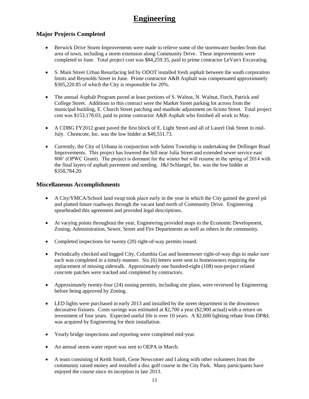## **Engineering**

## **Major Projects Completed**

- Berwick Drive Storm Improvements were made to relieve some of the stormwater burden from that area of town, including a storm extension along Community Drive. These improvements were completed in June. Total project cost was \$84,259.35, paid to prime contractor LeVan's Excavating.
- S. Main Street Urban Resurfacing led by ODOT installed fresh asphalt between the south corporation limits and Reynolds Street in June. Prime contractor A&B Asphalt was compensated approximately \$305,220.85 of which the City is responsible for 20%.
- The annual Asphalt Program paved at least portions of S. Walnut, N. Walnut, Finch, Patrick and College Street. Additions to this contract were the Market Street parking lot across from the municipal building, E. Church Street patching and manhole adjustment on Scioto Street. Total project cost was \$153,178.03, paid to prime contractor A&B Asphalt who finished all work in May.
- A CDBG FY2012 grant paved the first block of E. Light Street and all of Laurel Oak Street in mid-July. Chemcote, Inc. was the low bidder at \$49,551.73.
- Currently, the City of Urbana in conjunction with Salem Township is undertaking the Dellinger Road Improvements. This project has lowered the hill near Julia Street and extended sewer service east 800' (OPWC Grant). The project is dormant for the winter but will resume in the spring of 2014 with the final layers of asphalt pavement and seeding. J&J Schlaegel, Inc. was the low bidder at \$358,784.20.

### **Miscellaneous Accomplishments**

- A City/YMCA/School land swap took place early in the year in which the City gained the gravel pit and platted future roadways through the vacant land north of Community Drive. Engineering spearheaded this agreement and provided legal descriptions.
- At varying points throughout the year, Engineering provided maps to the Economic Development, Zoning, Administration, Sewer, Street and Fire Departments as well as others in the community.
- Completed inspections for twenty (20) right-of-way permits issued.
- Periodically checked and logged City, Columbia Gas and homeowner right-of-way digs to make sure each was completed in a timely manner. Six (6) letters were sent to homeowners requiring the replacement of missing sidewalk. Approximately one hundred-eight (108) non-project related concrete patches were tracked and completed by contractors.
- Approximately twenty-four (24) zoning permits, including site plans, were reviewed by Engineering before being approved by Zoning.
- LED lights were purchased in early 2013 and installed by the street department in the downtown decorative fixtures. Costs savings was estimated at \$2,700 a year (\$2,900 actual) with a return on investment of four years. Expected useful life is over 10 years. A \$2,600 lighting rebate from DP&L was acquired by Engineering for their installation.
- Yearly bridge inspections and reporting were completed mid-year.
- An annual storm water report was sent to OEPA in March.
- A team consisting of Keith Smith, Gene Newcomer and I along with other volunteers from the community raised money and installed a disc golf course in the City Park. Many participants have enjoyed the course since its inception in late 2013.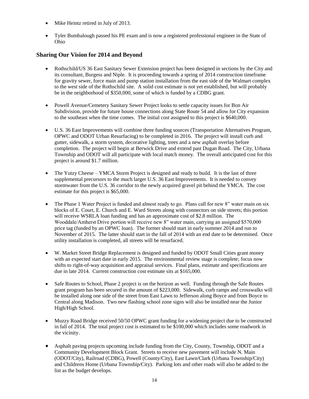- Mike Heintz retired in July of 2013.
- Tyler Bumbalough passed his PE exam and is now a registered professional engineer in the State of Ohio

- Rothschild/US 36 East Sanitary Sewer Extension project has been designed in sections by the City and its consultant, Burgess and Niple. It is proceeding towards a spring of 2014 construction timeframe for gravity sewer, force main and pump station installation from the east side of the Walmart complex to the west side of the Rothschild site. A solid cost estimate is not yet established, but will probably be in the neighborhood of \$350,000, some of which is funded by a CDBG grant.
- Powell Avenue/Cemetery Sanitary Sewer Project looks to settle capacity issues for Bon Air Subdivision, provide for future house connections along State Route 54 and allow for City expansion to the southeast when the time comes. The initial cost assigned to this project is \$640,000.
- U.S. 36 East Improvements will combine three funding sources (Transportation Alternatives Program, OPWC and ODOT Urban Resurfacing) to be completed in 2016. The project will install curb and gutter, sidewalk, a storm system, decorative lighting, trees and a new asphalt overlay before completion. The project will begin at Berwick Drive and extend past Dugan Road. The City, Urbana Township and ODOT will all participate with local match money. The overall anticipated cost for this project is around \$1.7 million.
- The Yutzy Cheese YMCA Storm Project is designed and ready to build. It is the last of three supplemental precursors to the much larger U.S. 36 East Improvements. It is needed to convey stormwater from the U.S. 36 corridor to the newly acquired gravel pit behind the YMCA. The cost estimate for this project is \$65,000.
- The Phase 1 Water Project is funded and almost ready to go. Plans call for new 8" water main on six blocks of E. Court, E. Church and E. Ward Streets along with connectors on side streets; this portion will receive WSRLA loan funding and has an approximate cost of \$2.8 million. The Wooddale/Amherst Drive portion will receive new 8" water main, carrying an assigned \$570,000 price tag (funded by an OPWC loan). The former should start in early summer 2014 and run to November of 2015. The latter should start in the fall of 2014 with an end date to be determined. Once utility installation is completed, all streets will be resurfaced.
- W. Market Street Bridge Replacement is designed and funded by ODOT Small Cities grant money with an expected start date in early 2015. The environmental review stage is complete; focus now shifts to right-of-way acquisition and appraisal services. Final plans, estimate and specifications are due in late 2014. Current construction cost estimate sits at \$165,000.
- Safe Routes to School, Phase 2 project is on the horizon as well. Funding through the Safe Routes grant program has been secured in the amount of \$223,000. Sidewalk, curb ramps and crosswalks will be installed along one side of the street from East Lawn to Jefferson along Boyce and from Boyce to Central along Madison. Two new flashing school zone signs will also be installed near the Junior High/High School.
- Muzzy Road Bridge received 50/50 OPWC grant funding for a widening project due to be constructed in fall of 2014. The total project cost is estimated to be \$100,000 which includes some roadwork in the vicinity.
- Asphalt paving projects upcoming include funding from the City, County, Township, ODOT and a Community Development Block Grant. Streets to receive new pavement will include N. Main (ODOT/City), Railroad (CDBG), Powell (County/City), East Lawn/Clark (Urbana Township/City) and Childrens Home (Urbana Township/City). Parking lots and other roads will also be added to the list as the budget develops.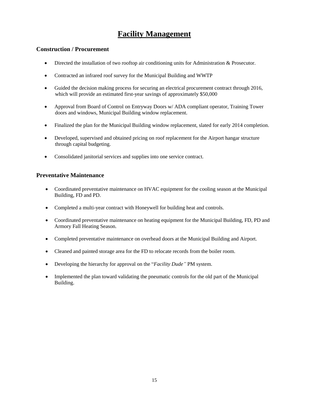# **Facility Management**

## **Construction / Procurement**

- Directed the installation of two rooftop air conditioning units for Administration & Prosecutor.
- Contracted an infrared roof survey for the Municipal Building and WWTP
- Guided the decision making process for securing an electrical procurement contract through 2016, which will provide an estimated first-year savings of approximately \$50,000
- Approval from Board of Control on Entryway Doors w/ ADA compliant operator, Training Tower doors and windows, Municipal Building window replacement.
- Finalized the plan for the Municipal Building window replacement, slated for early 2014 completion.
- Developed, supervised and obtained pricing on roof replacement for the Airport hangar structure through capital budgeting.
- Consolidated janitorial services and supplies into one service contract.

## **Preventative Maintenance**

- Coordinated preventative maintenance on HVAC equipment for the cooling season at the Municipal Building, FD and PD.
- Completed a multi-year contract with Honeywell for building heat and controls.
- Coordinated preventative maintenance on heating equipment for the Municipal Building, FD, PD and Armory Fall Heating Season.
- Completed preventative maintenance on overhead doors at the Municipal Building and Airport.
- Cleaned and painted storage area for the FD to relocate records from the boiler room.
- Developing the hierarchy for approval on the "*Facility Dude"* PM system.
- Implemented the plan toward validating the pneumatic controls for the old part of the Municipal Building.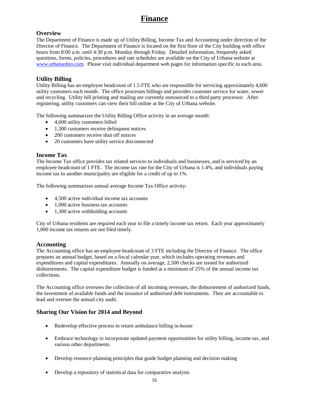## **Finance**

## **Overview**

The Department of Finance is made up of Utility Billing, Income Tax and Accounting under direction of the Director of Finance. The Department of Finance is located on the first floor of the City building with office hours from 8:00 a.m. until 4:30 p.m. Monday through Friday. Detailed information, frequently asked questions, forms, policies, procedures and rate schedules are available on the City of Urbana website at [www.urbanaohio.com.](http://www.urbanaohio.com/) Please visit individual department web pages for information specific to each area.

### **Utility Billing**

Utility Billing has an employee headcount of 1.5 FTE who are responsible for servicing approximately 4,600 utility customers each month. The office processes billings and provides customer service for water, sewer and recycling. Utility bill printing and mailing are currently outsourced to a third party processor. After registering, utility customers can view their bill online at the City of Urbana website.

The following summarizes the Utility Billing Office activity in an average month:

- 4,600 utility customers billed
- 1,300 customers receive delinquent notices
- 200 customers receive shut off notices
- 20 customers have utility service disconnected

### **Income Tax**

The Income Tax office provides tax related services to individuals and businesses, and is serviced by an employee headcount of 1 FTE. The income tax rate for the City of Urbana is 1.4%, and individuals paying income tax to another municipality are eligible for a credit of up to 1%.

The following summarizes annual average Income Tax Office activity:

- 4,500 active individual income tax accounts
- 1,000 active business tax accounts
- 1,300 active withholding accounts

City of Urbana residents are required each year to file a timely income tax return. Each year approximately 1,000 income tax returns are not filed timely.

### **Accounting**

The Accounting office has an employee headcount of 3 FTE including the Director of Finance. The office prepares an annual budget, based on a fiscal calendar year, which includes operating revenues and expenditures and capital expenditures. Annually on average, 2,500 checks are issued for authorized disbursements. The capital expenditure budget is funded at a minimum of 25% of the annual income tax collections.

The Accounting office oversees the collection of all incoming revenues, the disbursement of authorized funds, the investment of available funds and the issuance of authorized debt instruments. They are accountable to lead and oversee the annual city audit.

- Redevelop effective process to return ambulance billing in-house
- Embrace technology to incorporate updated payment opportunities for utility billing, income tax, and various other departments.
- Develop resource planning principles that guide budget planning and decision making
- Develop a repository of statistical data for comparative analysis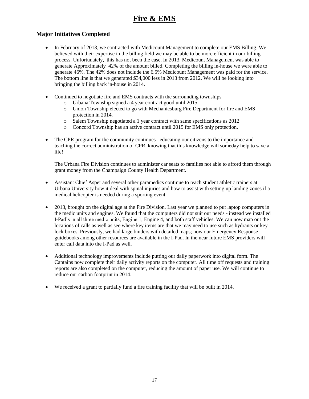# **Fire & EMS**

## **Major Initiatives Completed**

- In February of 2013, we contracted with Medicount Management to complete our EMS Billing. We believed with their expertise in the billing field we may be able to be more efficient in our billing process. Unfortunately, this has not been the case. In 2013, Medicount Management was able to generate Approximately 42% of the amount billed. Completing the billing in-house we were able to generate 46%. The 42% does not include the 6.5% Medicount Management was paid for the service. The bottom line is that we generated \$34,000 less in 2013 from 2012. We will be looking into bringing the billing back in-house in 2014.
- Continued to negotiate fire and EMS contracts with the surrounding townships
	- o Urbana Township signed a 4 year contract good until 2015
	- o Union Township elected to go with Mechanicsburg Fire Department for fire and EMS protection in 2014.
	- o Salem Township negotiated a 1 year contract with same specifications as 2012
	- o Concord Township has an active contract until 2015 for EMS only protection.
- The CPR program for the community continues– educating our citizens to the importance and teaching the correct administration of CPR, knowing that this knowledge will someday help to save a life!

The Urbana Fire Division continues to administer car seats to families not able to afford them through grant money from the Champaign County Health Department.

- Assistant Chief Asper and several other paramedics continue to teach student athletic trainers at Urbana University how it deal with spinal injuries and how to assist with setting up landing zones if a medical helicopter is needed during a sporting event.
- 2013, brought on the digital age at the Fire Division. Last year we planned to put laptop computers in the medic units and engines. We found that the computers did not suit our needs - instead we installed I-Pad's in all three medic units, Engine 1, Engine 4, and both staff vehicles. We can now map out the locations of calls as well as see where key items are that we may need to use such as hydrants or key lock boxes. Previously, we had large binders with detailed maps; now our Emergency Response guidebooks among other resources are available in the I-Pad. In the near future EMS providers will enter call data into the I-Pad as well.
- Additional technology improvements include putting our daily paperwork into digital form. The Captains now complete their daily activity reports on the computer. All time off requests and training reports are also completed on the computer, reducing the amount of paper use. We will continue to reduce our carbon footprint in 2014.
- We received a grant to partially fund a fire training facility that will be built in 2014.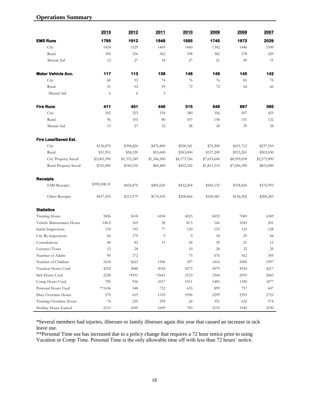## **Operations Summary**

|                             | 2013         | 2012        | 2011        | 2010        | 2009        | 2008        | 2007        |
|-----------------------------|--------------|-------------|-------------|-------------|-------------|-------------|-------------|
| <b>EMS Runs</b>             | 1795         | 1912        | 1849        | 1885        | 1745        | 1873        | 2029        |
| City                        | 1424         | 1529        | 1469        | 1460        | 1342        | 1446        | 1549        |
| Rural                       | 359          | 356         | 362         | 398         | 382         | 378         | 429         |
| Mutual Aid                  | 12           | 27          | 18          | 27          | 21          | 49          | 51          |
| <b>Motor Vehicle Acc.</b>   | 117          | 113         | 138         | 148         | 148         | 145         | 142         |
| City                        | 60           | 55          | 74          | 76          | 76          | 81          | 76          |
| Rural                       | 51           | 52          | 59          | 72          | 72          | 64          | 66          |
| Mutual Aid                  | 6            | 6           | 5           |             |             |             |             |
| <b>Fire Runs</b>            | 411          | 451         | 446         | 515         | 548         | 697         | 595         |
| City                        | 302          | 323         | 334         | 380         | 356         | 507         | 425         |
| Rural                       | 96           | 101         | 80          | 107         | 158         | 151         | 132         |
| Mutual Aid                  | 13           | 27          | 32          | 28          | 34          | 39          | 38          |
| <b>Fire Loss/Saved Est.</b> |              |             |             |             |             |             |             |
| City                        | \$136,870    | \$398,826   | \$476,800   | \$928,341   | \$76,200    | \$431,712   | \$237,510   |
| Rural                       | \$51,951     | \$58,320    | \$55,600    | \$183,000   | \$157,200   | \$915,261   | \$503,030   |
| City Property Saved         | \$3,065,390  | \$1,333,249 | \$1,346,500 | \$4,173,766 | \$7,653,640 | \$8,959,658 | \$2,575,890 |
| Rural Property Saved        | \$761,000    | \$160,530   | \$60,400    | \$452,345   | \$1,811,310 | \$7,456,390 | \$815,000   |
| <b>Receipts</b>             |              |             |             |             |             |             |             |
| <b>EMS</b> Receipts         | \$390,508.31 | \$424,870   | \$405,620   | \$432,204   | \$445,155   | \$358,426   | \$376,993   |
| Other Receipts              | \$437,455    | \$215,979   | \$174,105   | \$208,866   | \$160,081   | \$156,502   | \$206,283   |
| <b>Statistics</b>           |              |             |             |             |             |             |             |
| <b>Training Hours</b>       | 5826         | 5618        | 6104        | 6023        | 6035        | 7069        | 6369        |
| Vehicle Maintenance Hours   | 140.2        | 169         | 28          | 45.5        | 166         | 1043        | 201         |
| Initial Inspections         | 134          | 192         | 77          | 120         | 155         | 125         | 128         |
| City Re-inspections         | 84           | 179         | 9           | 9           | 18          | 29          | 84          |
| Consultations               | 40           | 85          | 15          | 24          | 39          | 21          | 15          |
| Lectures/Tours              | 12           | 28          |             | 10          | 28          | 32          | 29          |
| Number of Adults            | 90           | 172         |             | 75          | 676         | 562         | 305         |
| Number of Children          | 1634         | 2623        | 1306        | 397         | 1816        | 2000        | 1997        |
| Vacation Hours Used         | 4218         | 3848        | 5018        | 4273        | 5079        | 4924        | 4217        |
| Sick Hours Used             | 2238         | *4191       | $*3641$     | 2153        | 1504        | 2019        | 2683        |
| Comp Hours Used             | 785          | 936         | $1017\,$    | 1011        | 1485        | 1350        | 1877        |
| Personal Hours Used         | $**1636$     | 548         | 722         | 633         | 899         | 757         | 647         |
| Duty Overtime Hours         | 570          | 619         | 1339        | 1996        | 2299        | 2393        | 2723        |
| Training Overtime Hours     | 74           | 220         | 294         | 24          | 351         | 632         | 574         |
| Holiday Hours Earned        | 2115         | 1699        | 1699        | 783         | 2155        | 1945        | 2190        |

\*Several members had injuries, illnesses or family illnesses again this year that caused an increase in sick leave use.

\*\*Personal Time use has increased due to a policy change that requires a 72 hour notice prior to using Vacation or Comp Time. Personal Time is the only allowable time off with less than 72 hours' notice.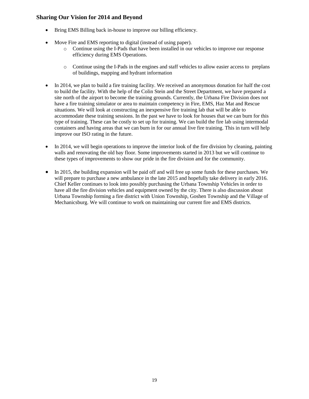- Bring EMS Billing back in-house to improve our billing efficiency.
- Move Fire and EMS reporting to digital (instead of using paper).
	- o Continue using the I-Pads that have been installed in our vehicles to improve our response efficiency during EMS Operations.
	- o Continue using the I-Pads in the engines and staff vehicles to allow easier access to preplans of buildings, mapping and hydrant information
- In 2014, we plan to build a fire training facility. We received an anonymous donation for half the cost to build the facility. With the help of the Colin Stein and the Street Department, we have prepared a site north of the airport to become the training grounds. Currently, the Urbana Fire Division does not have a fire training simulator or area to maintain competency in Fire, EMS, Haz Mat and Rescue situations. We will look at constructing an inexpensive fire training lab that will be able to accommodate these training sessions. In the past we have to look for houses that we can burn for this type of training. These can be costly to set up for training. We can build the fire lab using intermodal containers and having areas that we can burn in for our annual live fire training. This in turn will help improve our ISO rating in the future.
- In 2014, we will begin operations to improve the interior look of the fire division by cleaning, painting walls and renovating the old bay floor. Some improvements started in 2013 but we will continue to these types of improvements to show our pride in the fire division and for the community.
- In 2015, the building expansion will be paid off and will free up some funds for these purchases. We will prepare to purchase a new ambulance in the late 2015 and hopefully take delivery in early 2016. Chief Keller continues to look into possibly purchasing the Urbana Township Vehicles in order to have all the fire division vehicles and equipment owned by the city. There is also discussion about Urbana Township forming a fire district with Union Township, Goshen Township and the Village of Mechanicsburg. We will continue to work on maintaining our current fire and EMS districts.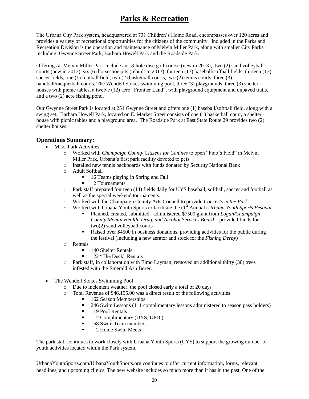# **Parks & Recreation**

The Urbana City Park system, headquartered at 731 Children's Home Road, encompasses over 120 acres and provides a variety of recreational opportunities for the citizens of the community. Included in the Parks and Recreation Division is the operation and maintenance of Melvin Miller Park, along with smaller City Parks including, Gwynne Street Park, Barbara Howell Park and the Roadside Park.

Offerings at Melvin Miller Park include an 18-hole disc golf course (new in 2013), two (2) sand volleyball courts (new in 2013), six (6) horseshoe pits (rebuilt in 2013), thirteen (13) baseball/softball fields, thirteen (13) soccer fields, one (1) football field, two (2) basketball courts, two (2) tennis courts, three (3) handball/racquetball courts, The Wendell Stokes swimming pool, three (3) playgrounds, three (3) shelter houses with picnic tables, a twelve (12) acre "Frontier Land", with playground equipment and unpaved trails, and a two (2) acre fishing pond.

Our Gwynne Street Park is located at 251 Gwynne Street and offers one (1) baseball/softball field, along with a swing set. Barbara Howell Park, located on E. Market Street consists of one (1) basketball court, a shelter house with picnic tables and a playground area. The Roadside Park at East State Route 29 provides two (2) shelter houses.

### **Operations Summary:**

- Misc. Park Activities
	- o Worked with *Champaign County Citizens for Canines* to open "Fido's Field" in Melvin Miller Park, Urbana's first park facility devoted to pets
	- o Installed new tennis backboards with funds donated by Security National Bank
	- o Adult Softball
		- 16 Teams playing in Spring and Fall
		- **2** Tournaments
	- o Park staff prepared fourteen (14) fields daily for UYS baseball, softball, soccer and football as well as the special weekend tournaments.
	- o Worked with the Champaign County Arts Council to provide *Concerts in the Park*
	- o Worked with Urbana Youth Sports to facilitate the (1st Annual) *Urbana Youth Sports Festival*
		- Planned, created, submitted, administered \$7500 grant from *Logan/Champaign County Mental Health, Drug, and Alcohol Services Board* – provided funds for two(2) sand volleyball courts
		- Raised over \$4500 in business donations, providing activities for the public during the festival (including a new aerator and stock for the *Fishing Derby*)
	- o Rentals
		- 140 Shelter Rentals
		- 22 "The Deck" Rentals
	- o Park staff, in collaboration with Elmo Layman, removed an additional thirty (30) trees infested with the Emerald Ash Borer.
- The Wendell Stokes Swimming Pool
	- o Due to inclement weather, the pool closed early a total of 20 days
	- o Total Revenue of \$46,155.00 was a direct result of the following activities:
		- 162 Season Memberships
		- <sup>246</sup> Swim Lessons (111 complimentary lessons administered to season pass holders)
		- **19 Pool Rentals**
		- 2 Complimentary (UYS, UPD,)
		- 68 Swim Team members
		- 2 Home Swim Meets

The park staff continues to work closely with Urbana Youth Sports (UYS) to support the growing number of youth activities located within the Park system.

UrbanaYouthSports.com/UrbanaYouthSports.org continues to offer current information, forms, relevant headlines, and upcoming clinics. The new website includes so much more than it has in the past. One of the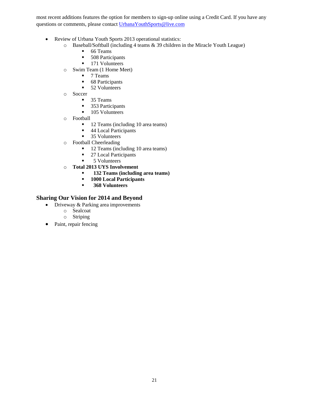most recent additions features the option for members to sign-up online using a Credit Card. If you have any questions or comments, please contact [UrbanaYouthSports@live.com](mailto:UrbanaYouthSports@live.com)

- Review of Urbana Youth Sports 2013 operational statistics:
	- o Baseball/Softball (including 4 teams & 39 children in the Miracle Youth League)
		- 66 Teams
		- **508 Participants**
		- **171 Volunteers**
	- o Swim Team (1 Home Meet)
		- $\blacksquare$  7 Teams
		- **68 Participants**
		- **52 Volunteers**
	- o Soccer
		- 35 Teams
		- 353 Participants
		- **105 Volunteers**
	- o Football
		- 12 Teams (including 10 area teams)
		- 44 Local Participants
		- **35 Volunteers**
	- o Football Cheerleading
		- 12 Teams (including 10 area teams)
		- 27 Local Participants<br>■ 5 Volunteers
		- 5 Volunteers
	- o **Total 2013 UYS Involvement**
		- **132 Teams (including area teams)**
		- **1000 Local Participants**
		- **368 Volunteers**

- Driveway & Parking area improvements
	- o Sealcoat
	- o Striping
- Paint, repair fencing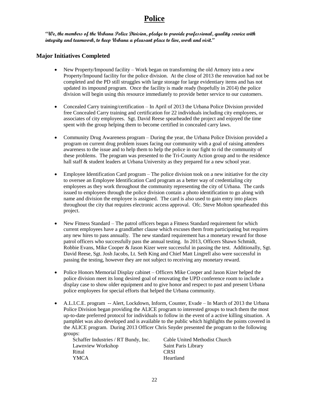## **Police**

**"We, the members of the Urbana Police Division, pledge to provide professional, quality service with integrity and teamwork, to keep Urbana a pleasant place to live, work and visit."**

### **Major Initiatives Completed**

- New Property/Impound facility Work began on transforming the old Armory into a new Property/Impound facility for the police division. At the close of 2013 the renovation had not be completed and the PD still struggles with large storage for large evidentiary items and has not updated its impound program. Once the facility is made ready (hopefully in 2014) the police division will begin using this resource immediately to provide better service to our customers.
- Concealed Carry training/certification In April of 2013 the Urbana Police Division provided free Concealed Carry training and certification for 22 individuals including city employees, or associates of city employees. Sgt. David Reese spearheaded the project and enjoyed the time spent with the group helping them to become certified in concealed carry laws.
- Community Drug Awareness program During the year, the Urbana Police Division provided a program on current drug problem issues facing our community with a goal of raising attendees awareness to the issue and to help them to help the police in our fight to rid the community of these problems. The program was presented to the Tri-County Action group and to the residence hall staff & student leaders at Urbana University as they prepared for a new school year.
- Employee Identification Card program The police division took on a new initiative for the city to oversee an Employee Identification Card program as a better way of credentialing city employees as they work throughout the community representing the city of Urbana. The cards issued to employees through the police division contain a photo identification to go along with name and division the employee is assigned. The card is also used to gain entry into places throughout the city that requires electronic access approval. Ofc. Steve Molton spearheaded this project.
- New Fitness Standard The patrol officers began a Fitness Standard requirement for which current employees have a grandfather clause which excuses them from participating but requires any new hires to pass annually. The new standard requirement has a monetary reward for those patrol officers who successfully pass the annual testing. In 2013, Officers Shawn Schmidt, Robbie Evans, Mike Cooper & Jason Kizer were successful in passing the test. Additionally, Sgt. David Reese, Sgt. Josh Jacobs, Lt. Seth King and Chief Matt Lingrell also were successful in passing the testing, however they are not subject to receiving any monetary reward.
- Police Honors Memorial Display cabinet Officers Mike Cooper and Jason Kizer helped the police division meet its long desired goal of renovating the UPD conference room to include a display case to show older equipment and to give honor and respect to past and present Urbana police employees for special efforts that helped the Urbana community.
- A.L.I.C.E. program -- Alert, Lockdown, Inform, Counter, Evade In March of 2013 the Urbana Police Division began providing the ALICE program to interested groups to teach them the most up-to-date preferred protocol for individuals to follow in the event of a active killing situation. A pamphlet was also developed and is available to the public which highlights the points covered in the ALICE program. During 2013 Officer Chris Snyder presented the program to the following groups:

Schaffer Industries / RT Bundy, Inc. Cable United Methodist Church Lawnview Workshop Saint Paris Library Rittal CRSI YMCA Heartland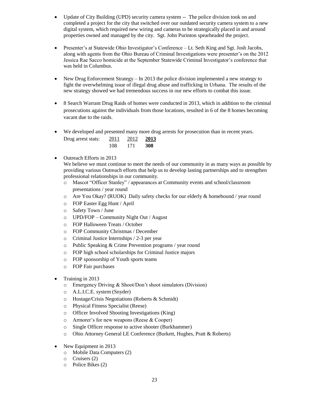- Update of City Building (UPD) security camera system -- The police division took on and completed a project for the city that switched over our outdated security camera system to a new digital system, which required new wiring and cameras to be strategically placed in and around properties owned and managed by the city. Sgt. John Purinton spearheaded the project.
- Presenter's at Statewide Ohio Investigator's Conference Lt. Seth King and Sgt. Josh Jacobs, along with agents from the Ohio Bureau of Criminal Investigations were presenter's on the 2012 Jessica Rae Sacco homicide at the September Statewide Criminal Investigator's conference that was held in Columbus.
- New Drug Enforcement Strategy In 2013 the police division implemented a new strategy to fight the overwhelming issue of illegal drug abuse and trafficking in Urbana. The results of the new strategy showed we had tremendous success in our new efforts to combat this issue.
- 8 Search Warrant Drug Raids of homes were conducted in 2013, which in addition to the criminal prosecutions against the individuals from those locations, resulted in 6 of the 8 homes becoming vacant due to the raids.
- We developed and presented many more drug arrests for prosecution than in recent years.

| 2011 | 2012 | 2013 |
|------|------|------|
| 108  | 171  | 308  |

• Outreach Efforts in 2013

Drug arrest stats:

We believe we must continue to meet the needs of our community in as many ways as possible by providing various Outreach efforts that help us to develop lasting partnerships and to strengthen professional relationships in our community.

- o Mascot "Officer Stanley" / appearances at Community events and school/classroom presentations / year round
- o Are You Okay? (RUOK) Daily safety checks for our elderly & homebound / year round
- o FOP Easter Egg Hunt / April
- o Safety Town / June
- o UPD/FOP Community Night Out / August
- o FOP Halloween Treats / October
- o FOP Community Christmas / December
- o Criminal Justice Internships / 2-3 per year
- o Public Speaking & Crime Prevention programs / year round
- o FOP high school scholarships for Criminal Justice majors
- o FOP sponsorship of Youth sports teams
- o FOP Fair purchases
- Training in 2013
	- o Emergency Driving & Shoot/Don't shoot simulators (Division)
	- o A.L.I.C.E. system (Snyder)
	- o Hostage/Crisis Negotiations (Roberts & Schmidt)
	- o Physical Fitness Specialist (Reese)
	- o Officer Involved Shooting Investigations (King)
	- o Armorer's for new weapons (Reese & Cooper)
	- o Single Officer response to active shooter (Burkhammer)
	- o Ohio Attorney General LE Conference (Burkett, Hughes, Pratt & Roberts)
- New Equipment in 2013
	- o Mobile Data Computers (2)
	- o Cruisers (2)
	- o Police Bikes (2)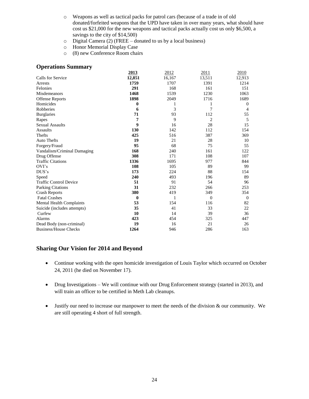- o Weapons as well as tactical packs for patrol cars (because of a trade in of old donated/forfeited weapons that the UPD have taken in over many years, what should have cost us \$21,000 for the new weapons and tactical packs actually cost us only \$6,500, a savings to the city of \$14,500)
- o Digital Camera (2) (FREE donated to us by a local business)
- o Honor Memorial Display Case
- o (8) new Conference Room chairs

#### **Operations Summary**

|                                 | 2013         | 2012   | 2011     | 2010           |  |
|---------------------------------|--------------|--------|----------|----------------|--|
| Calls for Service               | 12,851       | 16,167 | 13,511   | 12,913         |  |
| Arrests                         | 1759         | 1707   | 1391     | 1214           |  |
| Felonies                        | 291          | 168    | 161      | 151            |  |
| Misdemeanors                    | 1468         | 1539   | 1230     | 1063           |  |
| <b>Offense Reports</b>          | 1898         | 2049   | 1716     | 1689           |  |
| Homicides                       | 0            |        |          | $\theta$       |  |
| Robberies                       | 6            | 3      | 7        | $\overline{4}$ |  |
| <b>Burglaries</b>               | 71           | 93     | 112      | 55             |  |
| Rapes                           | 7            | 9      | 2        | 5              |  |
| <b>Sexual Assaults</b>          | 9            | 16     | 28       | 15             |  |
| Assaults                        | 130          | 142    | 112      | 154            |  |
| Thefts                          | 425          | 516    | 387      | 369            |  |
| <b>Auto Thefts</b>              | 19           | 21     | 28       | 10             |  |
| Forgery/Fraud                   | 95           | 68     | 75       | 55             |  |
| Vandalism/Criminal Damaging     | 168          | 240    | 161      | 122            |  |
| Drug Offense                    | 308          | 171    | 108      | 107            |  |
| <b>Traffic Citations</b>        | 1336         | 1695   | 977      | 844            |  |
| OVI's                           | 108          | 105    | 89       | 99             |  |
| DUS's                           | 173          | 224    | 88       | 154            |  |
| Speed                           | 240          | 493    | 196      | 89             |  |
| <b>Traffic Control Device</b>   | 51           | 91     | 54       | 96             |  |
| Parking Citations               | 31           | 232    | 266      | 253            |  |
| <b>Crash Reports</b>            | 380          | 419    | 349      | 354            |  |
| <b>Fatal Crashes</b>            | $\mathbf{0}$ | 1      | $\Omega$ | $\theta$       |  |
| <b>Mental Health Complaints</b> | 53           | 154    | 116      | 82             |  |
| Suicide (includes attempts)     | 35           | 41     | 33       | 22             |  |
| Curfew                          | 10           | 14     | 39       | 36             |  |
| Alarms                          | 423          | 454    | 325      | 447            |  |
| Dead Body (non-criminal)        | 19           | 16     | 21       | 26             |  |
| <b>Business/House Checks</b>    | 1264         | 946    | 286      | 163            |  |

- Continue working with the open homicide investigation of Louis Taylor which occurred on October 24, 2011 (he died on November 17).
- Drug Investigations We will continue with our Drug Enforcement strategy (started in 2013), and will train an officer to be certified in Meth Lab cleanups.
- Justify our need to increase our manpower to meet the needs of the division & our community. We are still operating 4 short of full strength.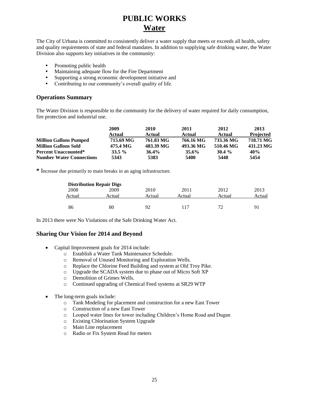# **PUBLIC WORKS Water**

The City of Urbana is committed to consistently deliver a water supply that meets or exceeds all health, safety and quality requirements of state and federal mandates. In addition to supplying safe drinking water, the Water Division also supports key initiatives in the community:

- Promoting public health
- Maintaining adequate flow for the Fire Department
- Supporting a strong economic development initiative and
- Contributing to our community's overall quality of life.

### **Operations Summary**

The Water Division is responsible to the community for the delivery of water required for daily consumption, fire protection and industrial use.

|                                 | 2009      | 2010      | 2011      | 2012      | 2013             |
|---------------------------------|-----------|-----------|-----------|-----------|------------------|
|                                 | Actual    | Actual    | Actual    | Actual    | <b>Projected</b> |
| <b>Million Gallons Pumped</b>   | 715.69 MG | 761.83 MG | 766.16 MG | 733.36 MG | 718.71 MG        |
| <b>Million Gallons Sold</b>     | 475.4 MG  | 483.39 MG | 493.36 MG | 510.46 MG | 431.23 MG        |
| <b>Percent Unaccounted*</b>     | $33.5 \%$ | $36.4\%$  | $35.6\%$  | $30.4\%$  | 40%              |
| <b>Number Water Connections</b> | 5343      | 5383      | 5400      | 5448      | 5454             |

**\*** Increase due primarily to main breaks in an aging infrastructure.

|        | <b>Distribution Repair Digs</b> |        |        |        |                |
|--------|---------------------------------|--------|--------|--------|----------------|
| 2008   | 2009                            | 2010   | 2011   | 2012   | 2013           |
| Actual | Actual                          | Actual | Actual | Actual | Actual         |
|        |                                 |        |        |        |                |
| 86     | 80                              | 92     | 117    | 72     | Q <sub>1</sub> |

In 2013 there were No Violations of the Safe Drinking Water Act.

- Capital Improvement goals for 2014 include:
	- o Establish a Water Tank Maintenance Schedule.
	- o Removal of Unused Monitoring and Exploration Wells.
	- o Replace the Chlorine Feed Building and system at Old Troy Pike.
	- o Upgrade the SCADA system due to phase out of Micro Soft XP
	- o Demolition of Grimes Wells.
	- o Continued upgrading of Chemical Feed systems at SR29 WTP
- The long-term goals include:
	- o Tank Modeling for placement and construction for a new East Tower
	- o Construction of a new East Tower
	- o Looped water lines for tower including Children's Home Road and Dugan
	- o Existing Chlorination System Upgrade
	- o Main Line replacement
	- o Radio or Fix System Read for meters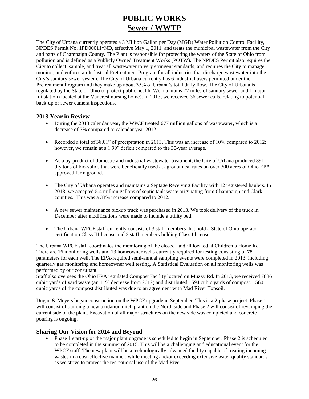# **PUBLIC WORKS Sewer / WWTP**

The City of Urbana currently operates a 3 Million Gallon per Day (MGD) Water Pollution Control Facility, NPDES Permit No. 1PD00011\*ND, effective May 1, 2011, and treats the municipal wastewater from the City and parts of Champaign County. The Plant is responsible for protecting the waters of the State of Ohio from pollution and is defined as a Publicly Owned Treatment Works (POTW). The NPDES Permit also requires the City to collect, sample, and treat all wastewater to very stringent standards, and requires the City to manage, monitor, and enforce an Industrial Pretreatment Program for all industries that discharge wastewater into the City's sanitary sewer system. The City of Urbana currently has 6 industrial users permitted under the Pretreatment Program and they make up about 35% of Urbana's total daily flow. The City of Urbana is regulated by the State of Ohio to protect public health. We maintains 72 miles of sanitary sewer and 1 major lift station (located at the Vancrest nursing home). In 2013, we received 36 sewer calls, relating to potential back-up or sewer camera inspections.

### **2013 Year in Review**

- During the 2013 calendar year, the WPCF treated 677 million gallons of wastewater, which is a decrease of 3% compared to calendar year 2012.
- Recorded a total of 38.01" of precipitation in 2013. This was an increase of 10% compared to 2012; however, we remain at a 1.99<sup>"</sup> deficit compared to the 30-year average.
- As a by-product of domestic and industrial wastewater treatment, the City of Urbana produced 391 dry tons of bio-solids that were beneficially used at agronomical rates on over 300 acres of Ohio EPA approved farm ground.
- The City of Urbana operates and maintains a Septage Receiving Facility with 12 registered haulers. In 2013, we accepted 5.4 million gallons of septic tank waste originating from Champaign and Clark counties. This was a 33% increase compared to 2012.
- A new sewer maintenance pickup truck was purchased in 2013. We took delivery of the truck in December after modifications were made to include a utility bed.
- The Urbana WPCF staff currently consists of 3 staff members that hold a State of Ohio operator certification Class III license and 2 staff members holding Class I license.

The Urbana WPCF staff coordinates the monitoring of the closed landfill located at Children's Home Rd. There are 16 monitoring wells and 13 homeowner wells currently required for testing consisting of 78 parameters for each well. The EPA-required semi-annual sampling events were completed in 2013, including quarterly gas monitoring and homeowner well testing. A Statistical Evaluation on all monitoring wells was performed by our consultant.

Staff also oversees the Ohio EPA regulated Compost Facility located on Muzzy Rd. In 2013, we received 7836 cubic yards of yard waste (an 11% decrease from 2012) and distributed 1594 cubic yards of compost. 1560 cubic yards of the compost distributed was due to an agreement with Mad River Topsoil.

Dugan & Meyers began construction on the WPCF upgrade in September. This is a 2-phase project. Phase 1 will consist of building a new oxidation ditch plant on the North side and Phase 2 will consist of revamping the current side of the plant. Excavation of all major structures on the new side was completed and concrete pouring is ongoing.

### **Sharing Our Vision for 2014 and Beyond**

• Phase 1 start-up of the major plant upgrade is scheduled to begin in September. Phase 2 is scheduled to be completed in the summer of 2015. This will be a challenging and educational event for the WPCF staff. The new plant will be a technologically advanced facility capable of treating incoming wastes in a cost-effective manner, while meeting and/or exceeding extensive water quality standards as we strive to protect the recreational use of the Mad River.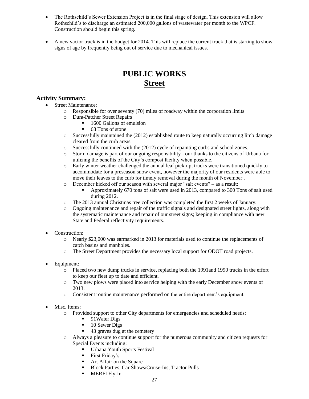- The Rothschild's Sewer Extension Project is in the final stage of design. This extension will allow Rothschild's to discharge an estimated 200,000 gallons of wastewater per month to the WPCF. Construction should begin this spring.
- A new vactor truck is in the budget for 2014. This will replace the current truck that is starting to show signs of age by frequently being out of service due to mechanical issues.

## **PUBLIC WORKS Street**

### **Activity Summary:**

- Street Maintenance:
	- $\circ$  Responsible for over seventy (70) miles of roadway within the corporation limits
	- o Dura-Patcher Street Repairs
		- 1600 Gallons of emulsion
		- 68 Tons of stone
	- $\circ$  Successfully maintained the (2012) established route to keep naturally occurring limb damage cleared from the curb areas.
	- $\circ$  Successfully continued with the (2012) cycle of repainting curbs and school zones.
	- o Storm damage is part of our ongoing responsibility our thanks to the citizens of Urbana for utilizing the benefits of the City's compost facility when possible.
	- o Early winter weather challenged the annual leaf pick-up, trucks were transitioned quickly to accommodate for a preseason snow event, however the majority of our residents were able to move their leaves to the curb for timely removal during the month of November .
	- o December kicked off our season with several major "salt events" as a result:
		- Approximately 670 tons of salt were used in 2013, compared to 300 Tons of salt used during 2012.
	- o The 2013 annual Christmas tree collection was completed the first 2 weeks of January.
	- o Ongoing maintenance and repair of the traffic signals and designated street lights, along with the systematic maintenance and repair of our street signs; keeping in compliance with new State and Federal reflectivity requirements.
- Construction:
	- o Nearly \$23,000 was earmarked in 2013 for materials used to continue the replacements of catch basins and manholes.
	- o The Street Department provides the necessary local support for ODOT road projects.
- Equipment:
	- o Placed two new dump trucks in service, replacing both the 1991and 1990 trucks in the effort to keep our fleet up to date and efficient.
	- o Two new plows were placed into service helping with the early December snow events of 2013.
	- o Consistent routine maintenance performed on the entire department's equipment.
- Misc. Items:
	- o Provided support to other City departments for emergencies and scheduled needs:
		- 91Water Digs
		- **10 Sewer Digs**
		- 43 graves dug at the cemetery
	- o Always a pleasure to continue support for the numerous community and citizen requests for Special Events including:
		- **Urbana Youth Sports Festival**
		- **First Friday's**
		- **Art Affair on the Square**
		- Block Parties, Car Shows/Cruise-Ins, Tractor Pulls
		- MERFI Fly-In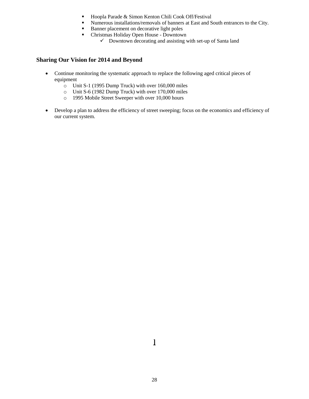- Hoopla Parade & Simon Kenton Chili Cook Off/Festival
- Numerous installations/removals of banners at East and South entrances to the City.
- Banner placement on decorative light poles
- Christmas Holiday Open House Downtown
	- $\checkmark$  Downtown decorating and assisting with set-up of Santa land

- Continue monitoring the systematic approach to replace the following aged critical pieces of equipment
	- o Unit S-1 (1995 Dump Truck) with over 160,000 miles
	- o Unit S-6 (1982 Dump Truck) with over 170,000 miles
	- o 1995 Mobile Street Sweeper with over 10,000 hours
- Develop a plan to address the efficiency of street sweeping; focus on the economics and efficiency of our current system.